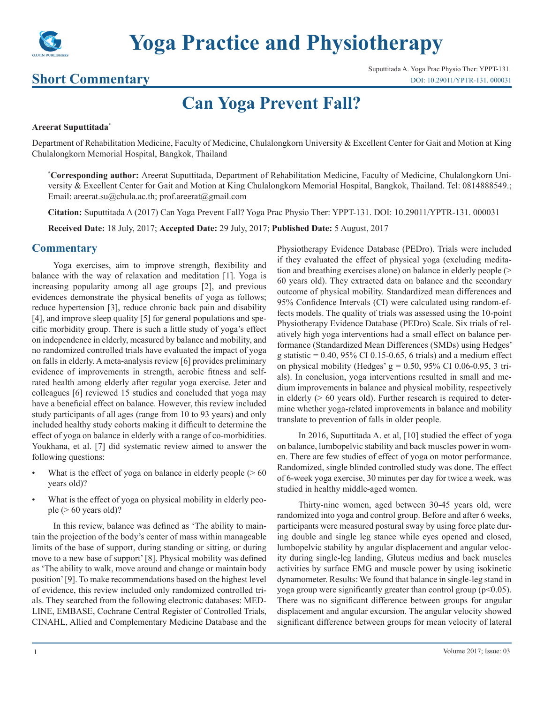

# **Yoga Practice and Physiotherapy**

### **Short Commentary**

Suputtitada A. Yoga Prac Physio Ther: YPPT-131. [DOI: 10.29011/YPTR-131. 000031](http://doi.org/10.29011/YPTR-131. 000031)

## **Can Yoga Prevent Fall?**

#### **Areerat Suputtitada\***

Department of Rehabilitation Medicine, Faculty of Medicine, Chulalongkorn University & Excellent Center for Gait and Motion at King Chulalongkorn Memorial Hospital, Bangkok, Thailand

**\* Corresponding author:** Areerat Suputtitada, Department of Rehabilitation Medicine, Faculty of Medicine, Chulalongkorn University & Excellent Center for Gait and Motion at King Chulalongkorn Memorial Hospital, Bangkok, Thailand. Tel: 0814888549.; Email: areerat.su@chula.ac.th; prof.areerat@gmail.com

**Citation:** Suputtitada A (2017) Can Yoga Prevent Fall? Yoga Prac Physio Ther: YPPT-131. DOI: 10.29011/YPTR-131. 000031

**Received Date:** 18 July, 2017; **Accepted Date:** 29 July, 2017; **Published Date:** 5 August, 2017

#### **Commentary**

Yoga exercises, aim to improve strength, flexibility and balance with the way of relaxation and meditation [1]. Yoga is increasing popularity among all age groups [2], and previous evidences demonstrate the physical benefits of yoga as follows; reduce hypertension [3], reduce chronic back pain and disability [4], and improve sleep quality [5] for general populations and specific morbidity group. There is such a little study of yoga's effect on independence in elderly, measured by balance and mobility, and no randomized controlled trials have evaluated the impact of yoga on falls in elderly. A meta-analysis review [6] provides preliminary evidence of improvements in strength, aerobic fitness and selfrated health among elderly after regular yoga exercise. Jeter and colleagues [6] reviewed 15 studies and concluded that yoga may have a beneficial effect on balance. However, this review included study participants of all ages (range from 10 to 93 years) and only included healthy study cohorts making it difficult to determine the effect of yoga on balance in elderly with a range of co-morbidities. Youkhana, et al. [7] did systematic review aimed to answer the following questions:

- What is the effect of yoga on balance in elderly people  $($  > 60 years old)?
- What is the effect of yoga on physical mobility in elderly people ( $> 60$  years old)?

In this review, balance was defined as 'The ability to maintain the projection of the body's center of mass within manageable limits of the base of support, during standing or sitting, or during move to a new base of support' [8]. Physical mobility was defined as 'The ability to walk, move around and change or maintain body position' [9]. To make recommendations based on the highest level of evidence, this review included only randomized controlled trials. They searched from the following electronic databases: MED-LINE, EMBASE, Cochrane Central Register of Controlled Trials, CINAHL, Allied and Complementary Medicine Database and the

Physiotherapy Evidence Database (PEDro). Trials were included if they evaluated the effect of physical yoga (excluding meditation and breathing exercises alone) on balance in elderly people (> 60 years old). They extracted data on balance and the secondary outcome of physical mobility. Standardized mean differences and 95% Confidence Intervals (CI) were calculated using random-effects models. The quality of trials was assessed using the 10-point Physiotherapy Evidence Database (PEDro) Scale. Six trials of relatively high yoga interventions had a small effect on balance performance (Standardized Mean Differences (SMDs) using Hedges' g statistic =  $0.40$ ,  $95\%$  CI 0.15-0.65, 6 trials) and a medium effect on physical mobility (Hedges' g = 0.50, 95% CI 0.06-0.95, 3 trials). In conclusion, yoga interventions resulted in small and medium improvements in balance and physical mobility, respectively in elderly  $(0.60 \text{ years})$  old). Further research is required to determine whether yoga-related improvements in balance and mobility translate to prevention of falls in older people.

In 2016, Suputtitada A. et al, [10] studied the effect of yoga on balance, lumbopelvic stability and back muscles power in women. There are few studies of effect of yoga on motor performance. Randomized, single blinded controlled study was done. The effect of 6-week yoga exercise, 30 minutes per day for twice a week, was studied in healthy middle-aged women.

Thirty-nine women, aged between 30-45 years old, were randomized into yoga and control group. Before and after 6 weeks, participants were measured postural sway by using force plate during double and single leg stance while eyes opened and closed, lumbopelvic stability by angular displacement and angular velocity during single-leg landing, Gluteus medius and back muscles activities by surface EMG and muscle power by using isokinetic dynamometer. Results: We found that balance in single-leg stand in yoga group were significantly greater than control group ( $p<0.05$ ). There was no significant difference between groups for angular displacement and angular excursion. The angular velocity showed significant difference between groups for mean velocity of lateral